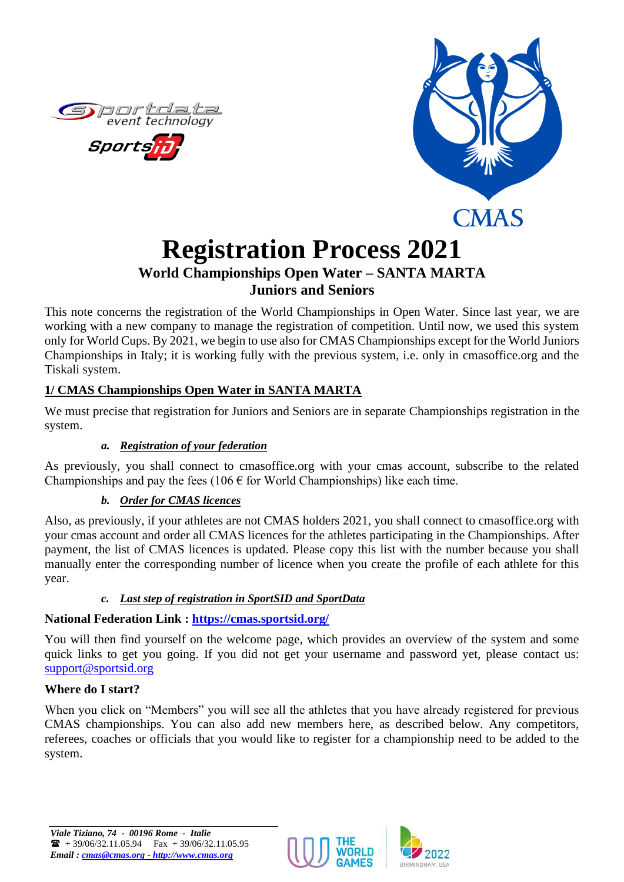





# **Registration Process 2021**

#### **World Championships Open Water – SANTA MARTA Juniors and Seniors**

This note concerns the registration of the World Championships in Open Water. Since last year, we are working with a new company to manage the registration of competition. Until now, we used this system only for World Cups. By 2021, we begin to use also for CMAS Championships except for the World Juniors Championships in Italy; it is working fully with the previous system, i.e. only in cmasoffice.org and the Tiskali system.

## **1/ CMAS Championships Open Water in SANTA MARTA**

We must precise that registration for Juniors and Seniors are in separate Championships registration in the system.

## *a. Registration of your federation*

As previously, you shall connect to cmasoffice.org with your cmas account, subscribe to the related Championships and pay the fees (106  $\epsilon$  for World Championships) like each time.

## *b. Order for CMAS licences*

Also, as previously, if your athletes are not CMAS holders 2021, you shall connect to cmasoffice.org with your cmas account and order all CMAS licences for the athletes participating in the Championships. After payment, the list of CMAS licences is updated. Please copy this list with the number because you shall manually enter the corresponding number of licence when you create the profile of each athlete for this year.

## *c. Last step of registration in SportSID and SportData*

## **National Federation Link :<https://cmas.sportsid.org/>**

You will then find yourself on the welcome page, which provides an overview of the system and some quick links to get you going. If you did not get your username and password yet, please contact us: [support@sportsid.org](mailto:support@sportsid.org)

## **Where do I start?**

When you click on "Members" you will see all the athletes that you have already registered for previous CMAS championships. You can also add new members here, as described below. Any competitors, referees, coaches or officials that you would like to register for a championship need to be added to the system.